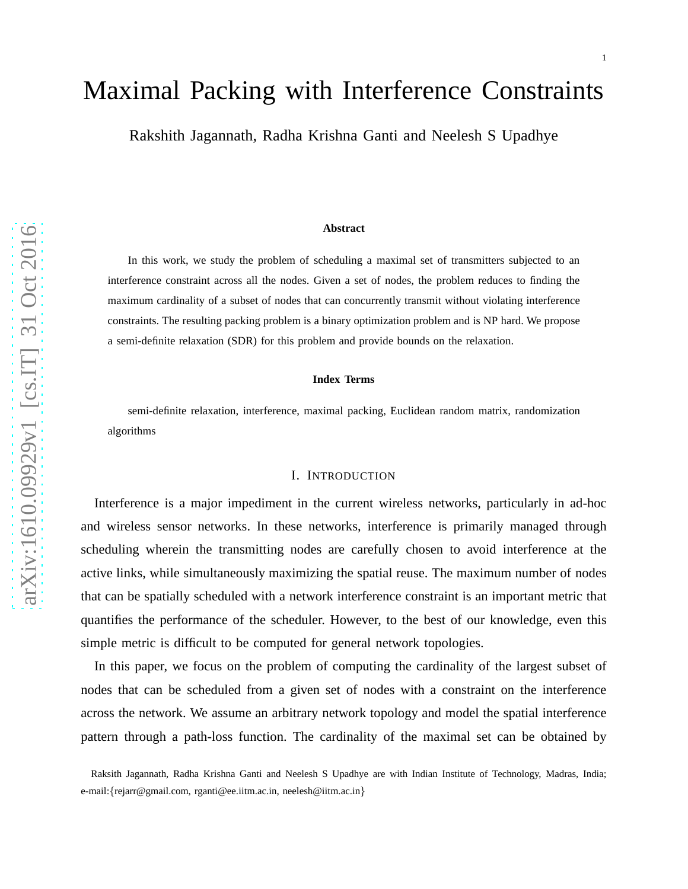1

# Maximal Packing with Interference Constraints

Rakshith Jagannath, Radha Krishna Ganti and Neelesh S Upadhye

#### **Abstract**

In this work, we study the problem of scheduling a maximal set of transmitters subjected to an interference constraint across all the nodes. Given a set of nodes, the problem reduces to finding the maximum cardinality of a subset of nodes that can concurrently transmit without violating interference constraints. The resulting packing problem is a binary optimization problem and is NP hard. We propose a semi-definite relaxation (SDR) for this problem and provide bounds on the relaxation.

#### **Index Terms**

semi-definite relaxation, interference, maximal packing, Euclidean random matrix, randomization algorithms

## I. INTRODUCTION

Interference is a major impediment in the current wireless networks, particularly in ad-hoc and wireless sensor networks. In these networks, interference is primarily managed through scheduling wherein the transmitting nodes are carefully chosen to avoid interference at the active links, while simultaneously maximizing the spatial reuse. The maximum number of nodes that can be spatially scheduled with a network interference constraint is an important metric that quantifies the performance of the scheduler. However, to the best of our knowledge, even this simple metric is difficult to be computed for general network topologies.

In this paper, we focus on the problem of computing the cardinality of the largest subset of nodes that can be scheduled from a given set of nodes with a constraint on the interference across the network. We assume an arbitrary network topology and model the spatial interference pattern through a path-loss function. The cardinality of the maximal set can be obtained by

Raksith Jagannath, Radha Krishna Ganti and Neelesh S Upadhye are with Indian Institute of Technology, Madras, India; e-mail:{rejarr@gmail.com, rganti@ee.iitm.ac.in, neelesh@iitm.ac.in}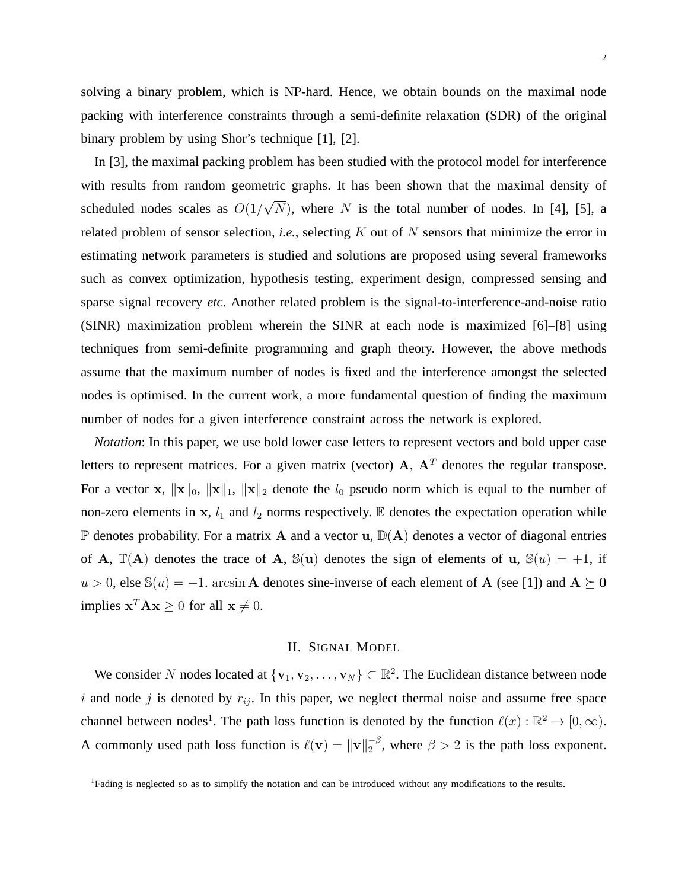solving a binary problem, which is NP-hard. Hence, we obtain bounds on the maximal node packing with interference constraints through a semi-definite relaxation (SDR) of the original binary problem by using Shor's technique [1], [2].

In [3], the maximal packing problem has been studied with the protocol model for interference with results from random geometric graphs. It has been shown that the maximal density of scheduled nodes scales as  $O(1/\sqrt{N})$ , where N is the total number of nodes. In [4], [5], a related problem of sensor selection, *i.e.*, selecting K out of N sensors that minimize the error in estimating network parameters is studied and solutions are proposed using several frameworks such as convex optimization, hypothesis testing, experiment design, compressed sensing and sparse signal recovery *etc*. Another related problem is the signal-to-interference-and-noise ratio (SINR) maximization problem wherein the SINR at each node is maximized [6]–[8] using techniques from semi-definite programming and graph theory. However, the above methods assume that the maximum number of nodes is fixed and the interference amongst the selected nodes is optimised. In the current work, a more fundamental question of finding the maximum number of nodes for a given interference constraint across the network is explored.

*Notation*: In this paper, we use bold lower case letters to represent vectors and bold upper case letters to represent matrices. For a given matrix (vector)  $A$ ,  $A<sup>T</sup>$  denotes the regular transpose. For a vector x,  $\|\mathbf{x}\|_0$ ,  $\|\mathbf{x}\|_1$ ,  $\|\mathbf{x}\|_2$  denote the  $l_0$  pseudo norm which is equal to the number of non-zero elements in x,  $l_1$  and  $l_2$  norms respectively. E denotes the expectation operation while  $\mathbb P$  denotes probability. For a matrix A and a vector u,  $\mathbb D(A)$  denotes a vector of diagonal entries of A,  $\mathbb{T}(A)$  denotes the trace of A,  $\mathbb{S}(u)$  denotes the sign of elements of u,  $\mathbb{S}(u) = +1$ , if  $u > 0$ , else S(u) = −1. arcsin **A** denotes sine-inverse of each element of **A** (see [1]) and **A**  $\succeq$  **0** implies  $\mathbf{x}^T \mathbf{A} \mathbf{x} \ge 0$  for all  $\mathbf{x} \ne 0$ .

## II. SIGNAL MODEL

We consider N nodes located at  $\{v_1, v_2, \dots, v_N\} \subset \mathbb{R}^2$ . The Euclidean distance between node i and node j is denoted by  $r_{ij}$ . In this paper, we neglect thermal noise and assume free space channel between nodes<sup>1</sup>. The path loss function is denoted by the function  $\ell(x): \mathbb{R}^2 \to [0, \infty)$ . A commonly used path loss function is  $\ell(\mathbf{v}) = ||\mathbf{v}||_2^{-\beta}$ , where  $\beta > 2$  is the path loss exponent.

<sup>1</sup>Fading is neglected so as to simplify the notation and can be introduced without any modifications to the results.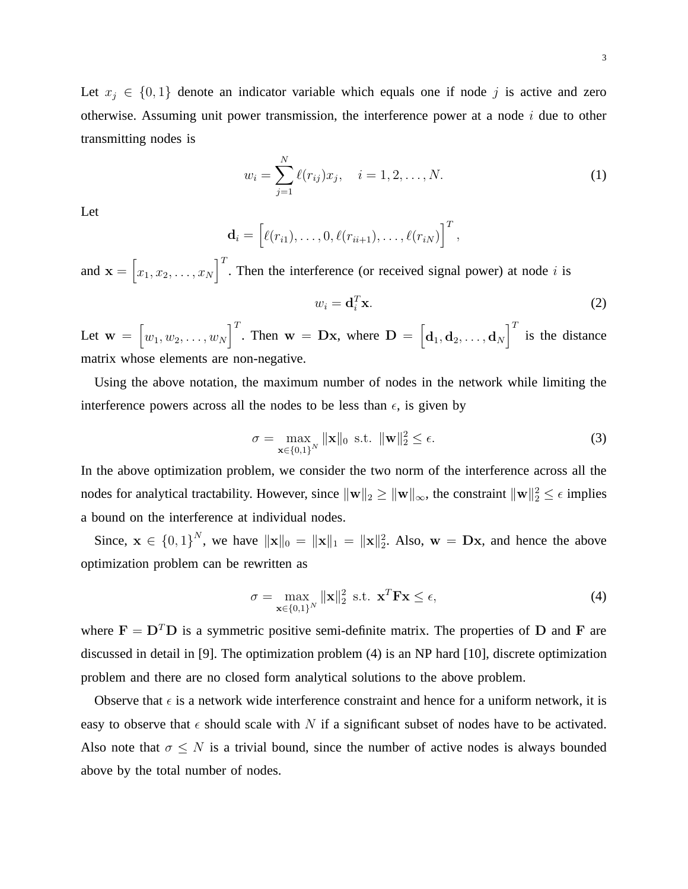Let  $x_j \in \{0, 1\}$  denote an indicator variable which equals one if node j is active and zero otherwise. Assuming unit power transmission, the interference power at a node  $i$  due to other transmitting nodes is

$$
w_i = \sum_{j=1}^{N} \ell(r_{ij}) x_j, \quad i = 1, 2, \dots, N.
$$
 (1)

Let

$$
\mathbf{d}_i = \left[\ell(r_{i1}), \ldots, 0, \ell(r_{ii+1}), \ldots, \ell(r_{iN})\right]^T,
$$

and  $\mathbf{x} = \begin{bmatrix} 1 \\ 1 \end{bmatrix}$  $x_1, x_2, \ldots, x_N$  $\int_0^T$ . Then the interference (or received signal power) at node i is

$$
w_i = \mathbf{d}_i^T \mathbf{x}.\tag{2}
$$

Let  $\mathbf{w} = \begin{bmatrix} \end{bmatrix}$  $w_1, w_2, \ldots, w_N$  $\left[\begin{matrix} \overline{I} \end{matrix}\right]$ . Then  $\mathbf{w} = \mathbf{D}\mathbf{x}$ , where  $\mathbf{D} = \left[\begin{matrix} \mathbf{d}_1, \mathbf{d}_2, \dots, \mathbf{d}_N \end{matrix}\right]$  $\int_0^T$  is the distance matrix whose elements are non-negative.

Using the above notation, the maximum number of nodes in the network while limiting the interference powers across all the nodes to be less than  $\epsilon$ , is given by

$$
\sigma = \max_{\mathbf{x} \in \{0,1\}^N} \|\mathbf{x}\|_0 \text{ s.t. } \|\mathbf{w}\|_2^2 \le \epsilon. \tag{3}
$$

In the above optimization problem, we consider the two norm of the interference across all the nodes for analytical tractability. However, since  $\|\mathbf{w}\|_2 \ge \|\mathbf{w}\|_{\infty}$ , the constraint  $\|\mathbf{w}\|_2^2 \le \epsilon$  implies a bound on the interference at individual nodes.

Since,  $\mathbf{x} \in \{0,1\}^N$ , we have  $\|\mathbf{x}\|_0 = \|\mathbf{x}\|_1 = \|\mathbf{x}\|_2^2$ . Also,  $\mathbf{w} = \mathbf{D}\mathbf{x}$ , and hence the above optimization problem can be rewritten as

$$
\sigma = \max_{\mathbf{x} \in \{0,1\}^N} \|\mathbf{x}\|_2^2 \text{ s.t. } \mathbf{x}^T \mathbf{F} \mathbf{x} \le \epsilon,
$$
\n(4)

where  $\mathbf{F} = \mathbf{D}^T \mathbf{D}$  is a symmetric positive semi-definite matrix. The properties of D and F are discussed in detail in [9]. The optimization problem (4) is an NP hard [10], discrete optimization problem and there are no closed form analytical solutions to the above problem.

Observe that  $\epsilon$  is a network wide interference constraint and hence for a uniform network, it is easy to observe that  $\epsilon$  should scale with N if a significant subset of nodes have to be activated. Also note that  $\sigma \leq N$  is a trivial bound, since the number of active nodes is always bounded above by the total number of nodes.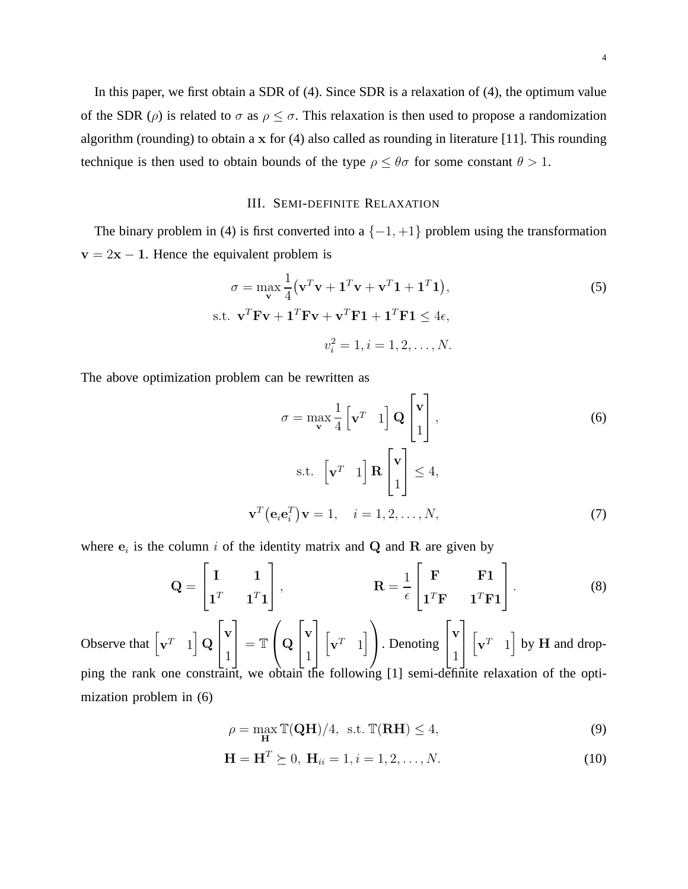In this paper, we first obtain a SDR of (4). Since SDR is a relaxation of (4), the optimum value of the SDR ( $\rho$ ) is related to  $\sigma$  as  $\rho \leq \sigma$ . This relaxation is then used to propose a randomization algorithm (rounding) to obtain a  $x$  for (4) also called as rounding in literature [11]. This rounding technique is then used to obtain bounds of the type  $\rho \leq \theta \sigma$  for some constant  $\theta > 1$ .

## III. SEMI-DEFINITE RELAXATION

The binary problem in (4) is first converted into a  $\{-1, +1\}$  problem using the transformation  $v = 2x - 1$ . Hence the equivalent problem is

$$
\sigma = \max_{\mathbf{v}} \frac{1}{4} (\mathbf{v}^T \mathbf{v} + \mathbf{1}^T \mathbf{v} + \mathbf{v}^T \mathbf{1} + \mathbf{1}^T \mathbf{1}),
$$
(5)  
s.t.  $\mathbf{v}^T \mathbf{F} \mathbf{v} + \mathbf{1}^T \mathbf{F} \mathbf{v} + \mathbf{v}^T \mathbf{F} \mathbf{1} + \mathbf{1}^T \mathbf{F} \mathbf{1} \le 4\epsilon,$   
 $v_i^2 = 1, i = 1, 2, ..., N.$ 

The above optimization problem can be rewritten as

$$
\sigma = \max_{\mathbf{v}} \frac{1}{4} \begin{bmatrix} \mathbf{v}^T & 1 \end{bmatrix} \mathbf{Q} \begin{bmatrix} \mathbf{v} \\ 1 \end{bmatrix},
$$
\ns.t. 
$$
\begin{bmatrix} \mathbf{v}^T & 1 \end{bmatrix} \mathbf{R} \begin{bmatrix} \mathbf{v} \\ 1 \end{bmatrix} \le 4,
$$
\n
$$
\mathbf{v}^T (\mathbf{e}_i \mathbf{e}_i^T) \mathbf{v} = 1, \quad i = 1, 2, ..., N,
$$
\n(7)

where  $e_i$  is the column i of the identity matrix and Q and R are given by

$$
\mathbf{Q} = \begin{bmatrix} \mathbf{I} & \mathbf{1} \\ \mathbf{1}^T & \mathbf{1}^T \mathbf{1} \end{bmatrix}, \qquad \qquad \mathbf{R} = \frac{1}{\epsilon} \begin{bmatrix} \mathbf{F} & \mathbf{F} \mathbf{1} \\ \mathbf{1}^T \mathbf{F} & \mathbf{1}^T \mathbf{F} \mathbf{1} \end{bmatrix}. \tag{8}
$$

Observe that  $\begin{bmatrix} \mathbf{v}^T & 1 \end{bmatrix}$  $\overline{\;}\,$  Q  $\overline{1}$  $\overline{1}$ v 1 l.  $\vert = \mathbb{T}$  $\sqrt{ }$  $\vert$  Q  $\sqrt{ }$  $\overline{1}$ v 1 1  $\overline{1}$  $\sqrt{ }$  $\mathbf{v}^T$  1 i  $\overline{ }$ . Denoting  $\overline{1}$  $\overline{1}$ v 1 1  $\overline{1}$  $\sqrt{ }$  $\mathbf{v}^T$  1  $\big]$  by H and dropping the rank one constraint, we obtain the following [1] semi-definite relaxation of the optimization problem in (6)

$$
\rho = \max_{\mathbf{H}} \mathbb{T}(\mathbf{Q}\mathbf{H})/4, \text{ s.t. } \mathbb{T}(\mathbf{R}\mathbf{H}) \le 4,
$$
\n(9)

$$
\mathbf{H} = \mathbf{H}^T \succeq 0, \ \mathbf{H}_{ii} = 1, i = 1, 2, \dots, N. \tag{10}
$$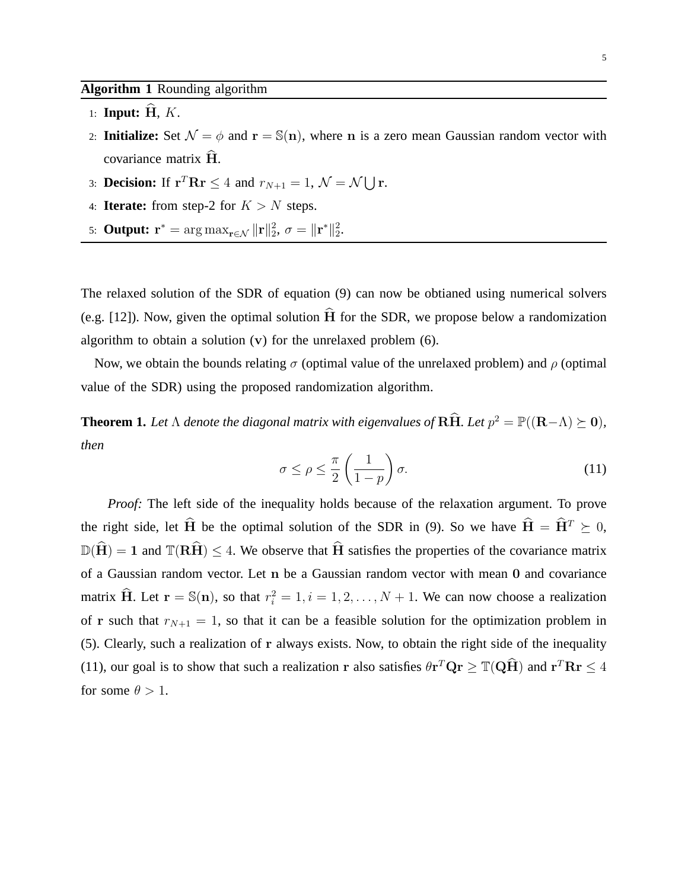## **Algorithm 1** Rounding algorithm

- 1: **Input:**  $H, K$ .
- 2: **Initialize:** Set  $\mathcal{N} = \phi$  and  $\mathbf{r} = \mathbb{S}(\mathbf{n})$ , where n is a zero mean Gaussian random vector with covariance matrix  $\hat{H}$ .
- 3: **Decision:** If  $\mathbf{r}^T \mathbf{R} \mathbf{r} \leq 4$  and  $r_{N+1} = 1$ ,  $\mathcal{N} = \mathcal{N} \bigcup \mathbf{r}$ .
- 4: **Iterate:** from step-2 for  $K > N$  steps.
- 5: **Output:**  $\mathbf{r}^* = \arg \max_{\mathbf{r} \in \mathcal{N}} ||\mathbf{r}||_2^2$ ,  $\sigma = ||\mathbf{r}^*||_2^2$ .

The relaxed solution of the SDR of equation (9) can now be obtianed using numerical solvers (e.g. [12]). Now, given the optimal solution  $\hat{H}$  for the SDR, we propose below a randomization algorithm to obtain a solution  $(v)$  for the unrelaxed problem  $(6)$ .

Now, we obtain the bounds relating  $\sigma$  (optimal value of the unrelaxed problem) and  $\rho$  (optimal value of the SDR) using the proposed randomization algorithm.

**Theorem 1.** Let  $\Lambda$  denote the diagonal matrix with eigenvalues of  $\hat{\textbf{R}}\hat{\textbf{H}}$ . Let  $p^2 = \mathbb{P}((\textbf{R}-\Lambda) \succeq \textbf{0})$ , *then*

$$
\sigma \le \rho \le \frac{\pi}{2} \left( \frac{1}{1-p} \right) \sigma. \tag{11}
$$

*Proof:* The left side of the inequality holds because of the relaxation argument. To prove the right side, let  $\hat{H}$  be the optimal solution of the SDR in (9). So we have  $\hat{H} = \hat{H}^T \succeq 0$ ,  $\mathbb{D}(\widehat{H}) = 1$  and  $\mathbb{T}(R\widehat{H}) \leq 4$ . We observe that  $\widehat{H}$  satisfies the properties of the covariance matrix of a Gaussian random vector. Let n be a Gaussian random vector with mean 0 and covariance matrix  $\hat{H}$ . Let  $r = \mathbb{S}(n)$ , so that  $r_i^2 = 1, i = 1, 2, ..., N + 1$ . We can now choose a realization of r such that  $r_{N+1} = 1$ , so that it can be a feasible solution for the optimization problem in (5). Clearly, such a realization of r always exists. Now, to obtain the right side of the inequality (11), our goal is to show that such a realization r also satisfies  $\theta r^T Q r \geq \mathbb{T} (Q\hat{H})$  and  $r^T R r \leq 4$ for some  $\theta > 1$ .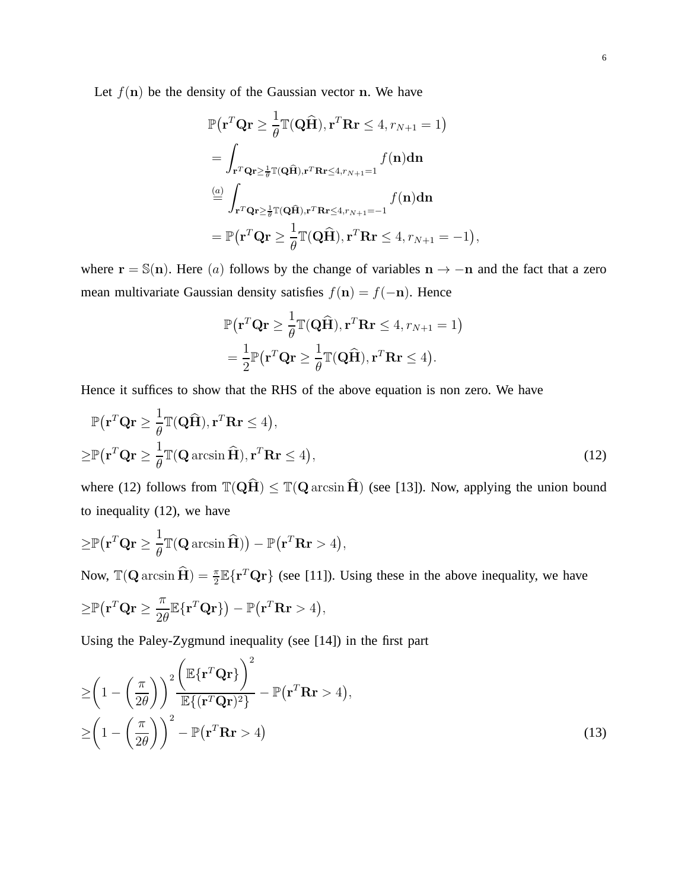Let  $f(n)$  be the density of the Gaussian vector n. We have

$$
\mathbb{P}(\mathbf{r}^T \mathbf{Q} \mathbf{r} \ge \frac{1}{\theta} \mathbb{T}(\mathbf{Q} \widehat{\mathbf{H}}), \mathbf{r}^T \mathbf{R} \mathbf{r} \le 4, r_{N+1} = 1)
$$
\n
$$
= \int_{\mathbf{r}^T \mathbf{Q} \mathbf{r} \ge \frac{1}{\theta} \mathbb{T}(\mathbf{Q} \widehat{\mathbf{H}}), \mathbf{r}^T \mathbf{R} \mathbf{r} \le 4, r_{N+1} = 1} f(\mathbf{n}) d\mathbf{n}
$$
\n
$$
\stackrel{(a)}{=} \int_{\mathbf{r}^T \mathbf{Q} \mathbf{r} \ge \frac{1}{\theta} \mathbb{T}(\mathbf{Q} \widehat{\mathbf{H}}), \mathbf{r}^T \mathbf{R} \mathbf{r} \le 4, r_{N+1} = -1} f(\mathbf{n}) d\mathbf{n}
$$
\n
$$
= \mathbb{P}(\mathbf{r}^T \mathbf{Q} \mathbf{r} \ge \frac{1}{\theta} \mathbb{T}(\mathbf{Q} \widehat{\mathbf{H}}), \mathbf{r}^T \mathbf{R} \mathbf{r} \le 4, r_{N+1} = -1),
$$

where  $\mathbf{r} = \mathbb{S}(\mathbf{n})$ . Here (a) follows by the change of variables  $\mathbf{n} \to -\mathbf{n}$  and the fact that a zero mean multivariate Gaussian density satisfies  $f(n) = f(-n)$ . Hence

$$
\mathbb{P}(\mathbf{r}^T \mathbf{Q} \mathbf{r} \ge \frac{1}{\theta} \mathbb{T}(\mathbf{Q} \widehat{\mathbf{H}}), \mathbf{r}^T \mathbf{R} \mathbf{r} \le 4, r_{N+1} = 1)
$$
  
=  $\frac{1}{2} \mathbb{P}(\mathbf{r}^T \mathbf{Q} \mathbf{r} \ge \frac{1}{\theta} \mathbb{T}(\mathbf{Q} \widehat{\mathbf{H}}), \mathbf{r}^T \mathbf{R} \mathbf{r} \le 4).$ 

Hence it suffices to show that the RHS of the above equation is non zero. We have

$$
\mathbb{P}(\mathbf{r}^T \mathbf{Q} \mathbf{r} \ge \frac{1}{\theta} \mathbb{T}(\mathbf{Q} \widehat{\mathbf{H}}), \mathbf{r}^T \mathbf{R} \mathbf{r} \le 4),
$$
  
\n
$$
\ge \mathbb{P}(\mathbf{r}^T \mathbf{Q} \mathbf{r} \ge \frac{1}{\theta} \mathbb{T}(\mathbf{Q} \arcsin \widehat{\mathbf{H}}), \mathbf{r}^T \mathbf{R} \mathbf{r} \le 4),
$$
\n(12)

where (12) follows from  $\mathbb{T}(\mathbf{Q}\hat{\mathbf{H}}) \leq \mathbb{T}(\mathbf{Q} \arcsin \hat{\mathbf{H}})$  (see [13]). Now, applying the union bound to inequality (12), we have

$$
\geq \mathbb{P}(\mathbf{r}^T \mathbf{Q} \mathbf{r} \geq \frac{1}{\theta} \mathbb{T}(\mathbf{Q} \arcsin \widehat{\mathbf{H}})) - \mathbb{P}(\mathbf{r}^T \mathbf{R} \mathbf{r} > 4),
$$
  
\nNow,  $\mathbb{T}(\mathbf{Q} \arcsin \widehat{\mathbf{H}}) = \frac{\pi}{2} \mathbb{E}\{\mathbf{r}^T \mathbf{Q} \mathbf{r}\}$  (see [11]). Using these in the above inequality, we have  
\n
$$
\geq \mathbb{P}(\mathbf{r}^T \mathbf{Q} \mathbf{r} \geq \frac{\pi}{2\theta} \mathbb{E}\{\mathbf{r}^T \mathbf{Q} \mathbf{r}\}) - \mathbb{P}(\mathbf{r}^T \mathbf{R} \mathbf{r} > 4),
$$

Using the Paley-Zygmund inequality (see [14]) in the first part

$$
\geq \left(1 - \left(\frac{\pi}{2\theta}\right)\right)^2 \frac{\left(\mathbb{E}\{\mathbf{r}^T \mathbf{Q} \mathbf{r}\}\right)^2}{\mathbb{E}\{(\mathbf{r}^T \mathbf{Q} \mathbf{r})^2\}} - \mathbb{P}(\mathbf{r}^T \mathbf{R} \mathbf{r} > 4),
$$
\n
$$
\geq \left(1 - \left(\frac{\pi}{2\theta}\right)\right)^2 - \mathbb{P}(\mathbf{r}^T \mathbf{R} \mathbf{r} > 4) \tag{13}
$$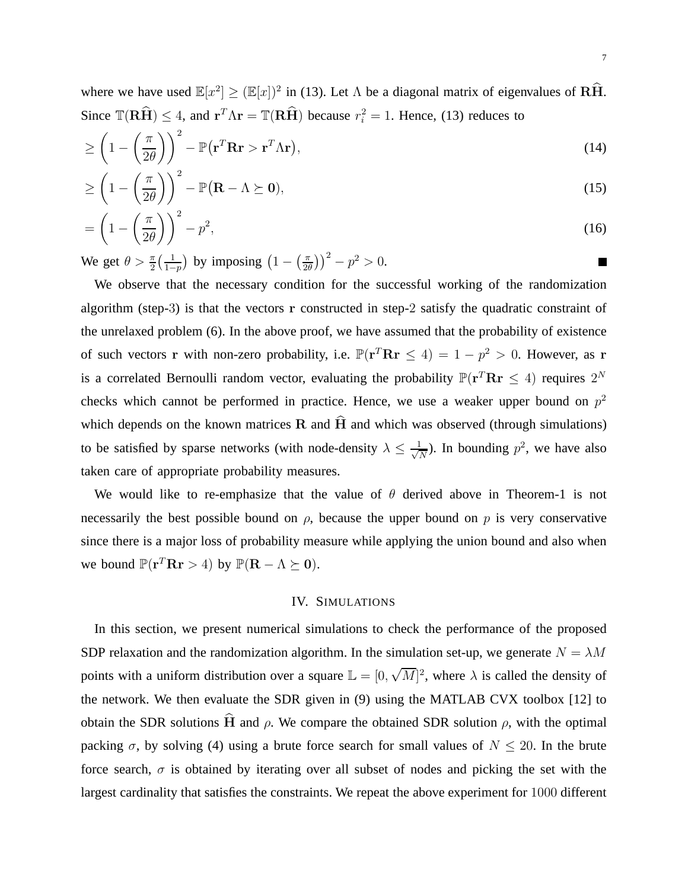where we have used  $\mathbb{E}[x^2] \geq (\mathbb{E}[x])^2$  in (13). Let  $\Lambda$  be a diagonal matrix of eigenvalues of  $\widehat{R}_{\Lambda}$ . Since  $\mathbb{T}(\mathbf{R}\hat{\mathbf{H}}) \leq 4$ , and  $\mathbf{r}^T \Lambda \mathbf{r} = \mathbb{T}(\mathbf{R}\hat{\mathbf{H}})$  because  $r_i^2 = 1$ . Hence, (13) reduces to

$$
\geq \left(1 - \left(\frac{\pi}{2\theta}\right)\right)^2 - \mathbb{P}(\mathbf{r}^T \mathbf{R} \mathbf{r} > \mathbf{r}^T \Lambda \mathbf{r}),\tag{14}
$$

$$
\geq \left(1 - \left(\frac{\pi}{2\theta}\right)\right)^2 - \mathbb{P}(\mathbf{R} - \Lambda \succeq \mathbf{0}),\tag{15}
$$

$$
= \left(1 - \left(\frac{\pi}{2\theta}\right)\right)^2 - p^2,\tag{16}
$$

We get  $\theta > \frac{\pi}{2} \left( \frac{1}{1 - \theta} \right)$  $1-p$ ) by imposing  $\left(1 - \left(\frac{\pi}{2e}\right)\right)$  $(\frac{\pi}{2\theta})^2 - p^2 > 0.$ 

We observe that the necessary condition for the successful working of the randomization algorithm (step-3) is that the vectors r constructed in step-2 satisfy the quadratic constraint of the unrelaxed problem (6). In the above proof, we have assumed that the probability of existence of such vectors r with non-zero probability, i.e.  $\mathbb{P}(\mathbf{r}^T \mathbf{R} \mathbf{r} \leq 4) = 1 - p^2 > 0$ . However, as r is a correlated Bernoulli random vector, evaluating the probability  $\mathbb{P}(\mathbf{r}^T \mathbf{R} \mathbf{r} \leq 4)$  requires  $2^N$ checks which cannot be performed in practice. Hence, we use a weaker upper bound on  $p^2$ which depends on the known matrices  $R$  and  $H$  and which was observed (through simulations) to be satisfied by sparse networks (with node-density  $\lambda \leq \frac{1}{\sqrt{l}}$  $\frac{1}{N}$ ). In bounding  $p^2$ , we have also taken care of appropriate probability measures.

We would like to re-emphasize that the value of  $\theta$  derived above in Theorem-1 is not necessarily the best possible bound on  $\rho$ , because the upper bound on  $p$  is very conservative since there is a major loss of probability measure while applying the union bound and also when we bound  $\mathbb{P}(\mathbf{r}^T \mathbf{R} \mathbf{r} > 4)$  by  $\mathbb{P}(\mathbf{R} - \Lambda \succeq \mathbf{0}).$ 

#### IV. SIMULATIONS

In this section, we present numerical simulations to check the performance of the proposed SDP relaxation and the randomization algorithm. In the simulation set-up, we generate  $N = \lambda M$ points with a uniform distribution over a square  $\mathbb{L} = [0, \sqrt{M}]^2$ , where  $\lambda$  is called the density of the network. We then evaluate the SDR given in (9) using the MATLAB CVX toolbox [12] to obtain the SDR solutions  $\hat{H}$  and  $\rho$ . We compare the obtained SDR solution  $\rho$ , with the optimal packing  $\sigma$ , by solving (4) using a brute force search for small values of  $N \leq 20$ . In the brute force search,  $\sigma$  is obtained by iterating over all subset of nodes and picking the set with the largest cardinality that satisfies the constraints. We repeat the above experiment for 1000 different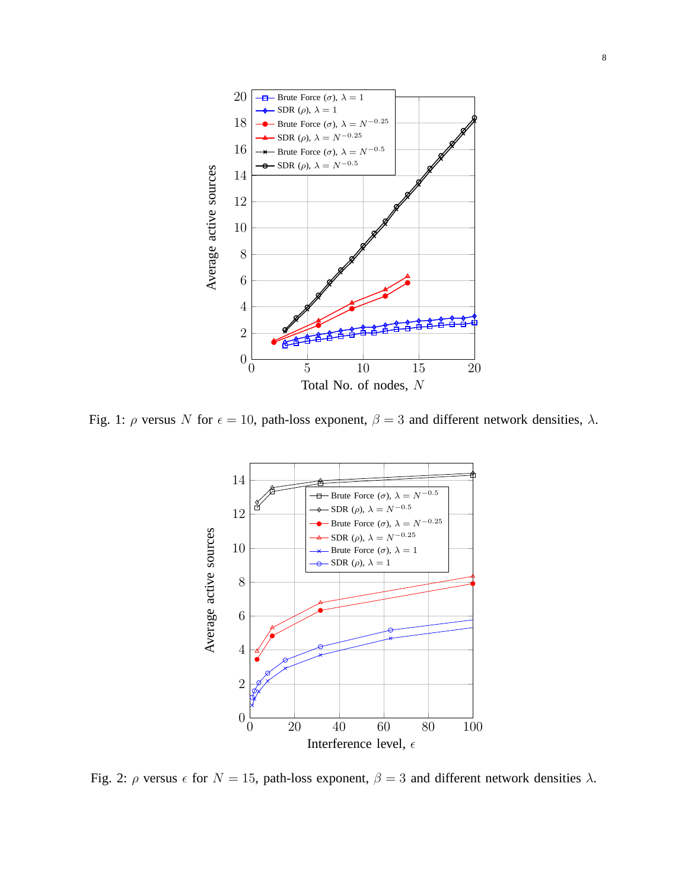

Fig. 1:  $\rho$  versus N for  $\epsilon = 10$ , path-loss exponent,  $\beta = 3$  and different network densities,  $\lambda$ .



Fig. 2:  $\rho$  versus  $\epsilon$  for  $N = 15$ , path-loss exponent,  $\beta = 3$  and different network densities  $\lambda$ .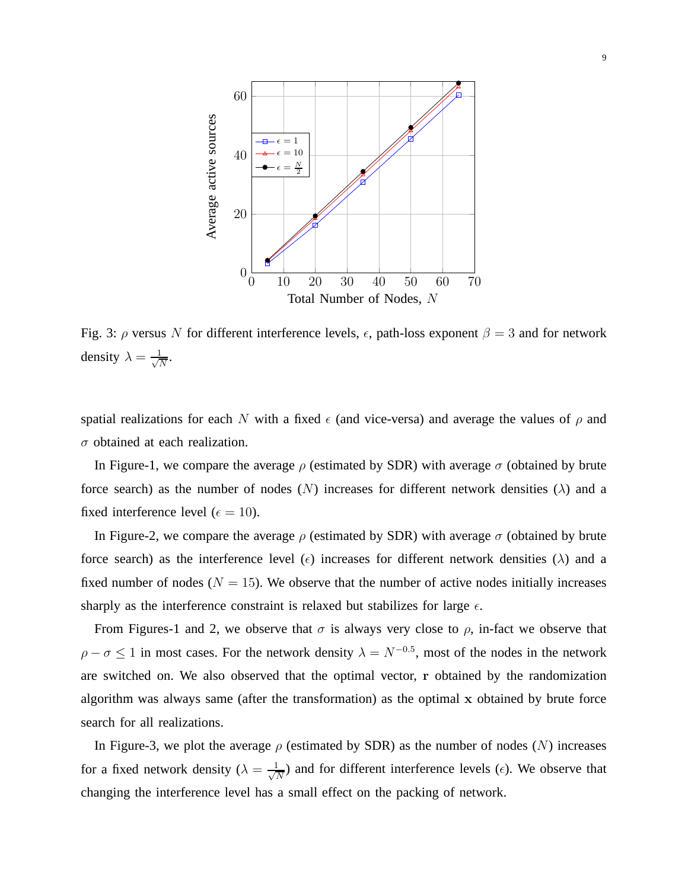

Fig. 3:  $\rho$  versus N for different interference levels,  $\epsilon$ , path-loss exponent  $\beta = 3$  and for network density  $\lambda = \frac{1}{\sqrt{2}}$  $\frac{1}{N}$ .

spatial realizations for each N with a fixed  $\epsilon$  (and vice-versa) and average the values of  $\rho$  and  $\sigma$  obtained at each realization.

In Figure-1, we compare the average  $\rho$  (estimated by SDR) with average  $\sigma$  (obtained by brute force search) as the number of nodes (N) increases for different network densities ( $\lambda$ ) and a fixed interference level ( $\epsilon = 10$ ).

In Figure-2, we compare the average  $\rho$  (estimated by SDR) with average  $\sigma$  (obtained by brute force search) as the interference level ( $\epsilon$ ) increases for different network densities ( $\lambda$ ) and a fixed number of nodes ( $N = 15$ ). We observe that the number of active nodes initially increases sharply as the interference constraint is relaxed but stabilizes for large  $\epsilon$ .

From Figures-1 and 2, we observe that  $\sigma$  is always very close to  $\rho$ , in-fact we observe that  $\rho - \sigma \le 1$  in most cases. For the network density  $\lambda = N^{-0.5}$ , most of the nodes in the network are switched on. We also observed that the optimal vector, r obtained by the randomization algorithm was always same (after the transformation) as the optimal x obtained by brute force search for all realizations.

In Figure-3, we plot the average  $\rho$  (estimated by SDR) as the number of nodes (N) increases for a fixed network density ( $\lambda = \frac{1}{\sqrt{2}}$  $\frac{1}{N}$ ) and for different interference levels ( $\epsilon$ ). We observe that changing the interference level has a small effect on the packing of network.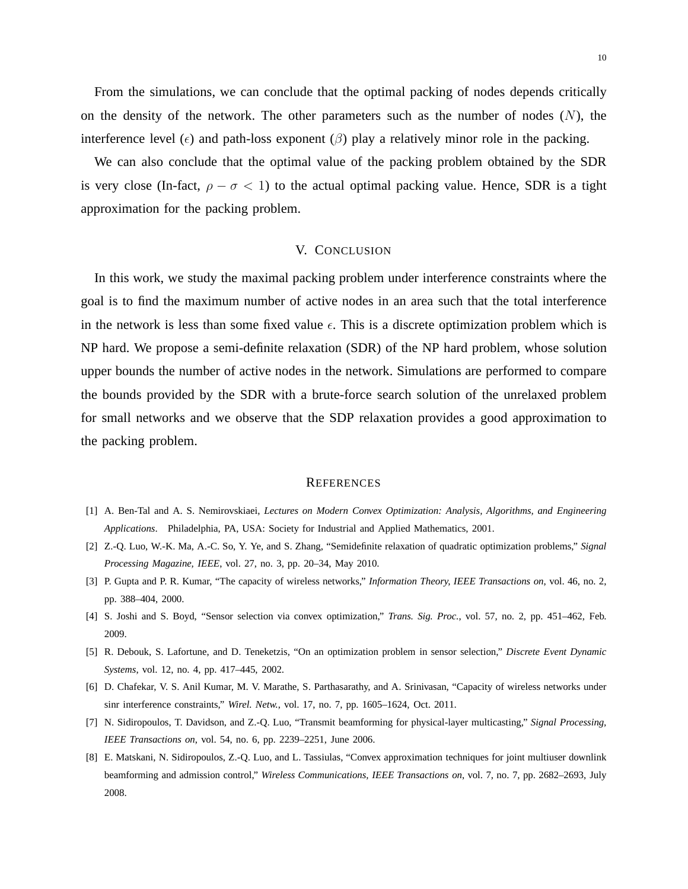From the simulations, we can conclude that the optimal packing of nodes depends critically on the density of the network. The other parameters such as the number of nodes  $(N)$ , the interference level ( $\epsilon$ ) and path-loss exponent ( $\beta$ ) play a relatively minor role in the packing.

We can also conclude that the optimal value of the packing problem obtained by the SDR is very close (In-fact,  $\rho - \sigma < 1$ ) to the actual optimal packing value. Hence, SDR is a tight approximation for the packing problem.

### V. CONCLUSION

In this work, we study the maximal packing problem under interference constraints where the goal is to find the maximum number of active nodes in an area such that the total interference in the network is less than some fixed value  $\epsilon$ . This is a discrete optimization problem which is NP hard. We propose a semi-definite relaxation (SDR) of the NP hard problem, whose solution upper bounds the number of active nodes in the network. Simulations are performed to compare the bounds provided by the SDR with a brute-force search solution of the unrelaxed problem for small networks and we observe that the SDP relaxation provides a good approximation to the packing problem.

#### **REFERENCES**

- [1] A. Ben-Tal and A. S. Nemirovskiaei, *Lectures on Modern Convex Optimization: Analysis, Algorithms, and Engineering Applications*. Philadelphia, PA, USA: Society for Industrial and Applied Mathematics, 2001.
- [2] Z.-Q. Luo, W.-K. Ma, A.-C. So, Y. Ye, and S. Zhang, "Semidefinite relaxation of quadratic optimization problems," *Signal Processing Magazine, IEEE*, vol. 27, no. 3, pp. 20–34, May 2010.
- [3] P. Gupta and P. R. Kumar, "The capacity of wireless networks," *Information Theory, IEEE Transactions on*, vol. 46, no. 2, pp. 388–404, 2000.
- [4] S. Joshi and S. Boyd, "Sensor selection via convex optimization," *Trans. Sig. Proc.*, vol. 57, no. 2, pp. 451–462, Feb. 2009.
- [5] R. Debouk, S. Lafortune, and D. Teneketzis, "On an optimization problem in sensor selection," *Discrete Event Dynamic Systems*, vol. 12, no. 4, pp. 417–445, 2002.
- [6] D. Chafekar, V. S. Anil Kumar, M. V. Marathe, S. Parthasarathy, and A. Srinivasan, "Capacity of wireless networks under sinr interference constraints," *Wirel. Netw.*, vol. 17, no. 7, pp. 1605–1624, Oct. 2011.
- [7] N. Sidiropoulos, T. Davidson, and Z.-Q. Luo, "Transmit beamforming for physical-layer multicasting," *Signal Processing, IEEE Transactions on*, vol. 54, no. 6, pp. 2239–2251, June 2006.
- [8] E. Matskani, N. Sidiropoulos, Z.-Q. Luo, and L. Tassiulas, "Convex approximation techniques for joint multiuser downlink beamforming and admission control," *Wireless Communications, IEEE Transactions on*, vol. 7, no. 7, pp. 2682–2693, July 2008.